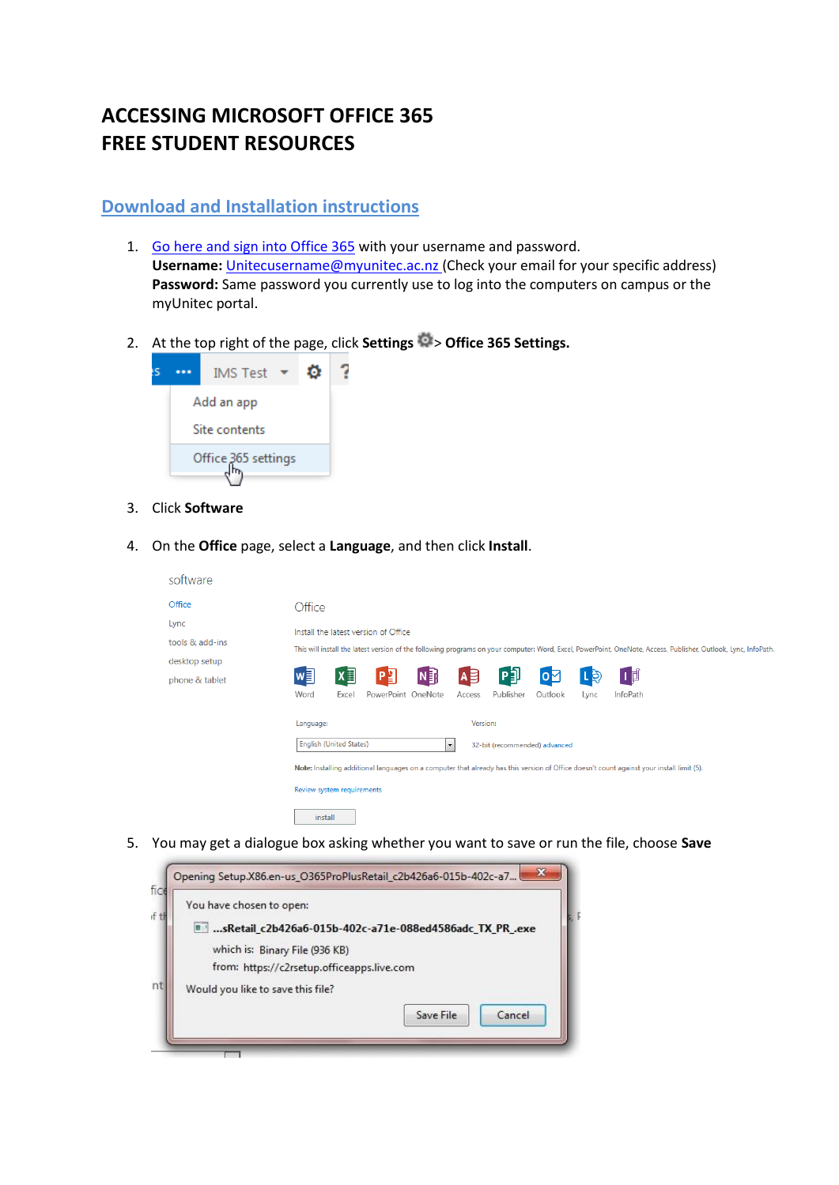# **ACCESSING MICROSOFT OFFICE 365 FREE STUDENT RESOURCES**

# **Download and Installation instructions**

- 1. [Go here and sign into Office 365](https://login.microsoftonline.com/) with your username and password. **Username:** [Unitecusername@myunitec.ac.nz](mailto:Unitecusername@myunitec.ac.nz) (Check your email for your specific address) **Password:** Same password you currently use to log into the computers on campus or the myUnitec portal.
- 2. At the top right of the page, click **Settings**  $\Rightarrow$  **Office 365 Settings.**



- 3. Click **Software**
- 4. On the **Office** page, select a **Language**, and then click **Install**.

| software        |                                                                                                                                                                |
|-----------------|----------------------------------------------------------------------------------------------------------------------------------------------------------------|
| Office          | Office                                                                                                                                                         |
| Lync            | Install the latest version of Office                                                                                                                           |
| tools & add-ins | This will install the latest version of the following programs on your computer: Word, Excel, PowerPoint, OneNote, Access, Publisher, Outlook, Lync, InfoPath. |
| desktop setup   |                                                                                                                                                                |
| phone & tablet  | 问<br>N <sub>3</sub><br>w∃<br>$x \equiv$<br>미<br>$A \n\equiv$<br>口目<br>l D<br>$\mathbf{O}$                                                                      |
|                 | Word<br>PowerPoint OneNote<br>Publisher<br>InfoPath<br>Excel<br>Access<br>Outlook<br>Lync                                                                      |
|                 | Version:<br>Language:                                                                                                                                          |
|                 | <b>English (United States)</b><br>32-bit (recommended) advanced<br>$\overline{\phantom{a}}$                                                                    |
|                 | Note: Installing additional languages on a computer that already has this version of Office doesn't count against your install limit (5).                      |
|                 | Review system requirements                                                                                                                                     |
|                 | install                                                                                                                                                        |

5. You may get a dialogue box asking whether you want to save or run the file, choose **Save**

| You have chosen to open:                   |                                                                  |
|--------------------------------------------|------------------------------------------------------------------|
|                                            | <b>■ sRetail c2b426a6-015b-402c-a71e-088ed4586adc TX PR .exe</b> |
| which is: Binary File (936 KB)             |                                                                  |
| from: https://c2rsetup.officeapps.live.com |                                                                  |
| Would you like to save this file?          |                                                                  |
|                                            | Cancel<br>Save File                                              |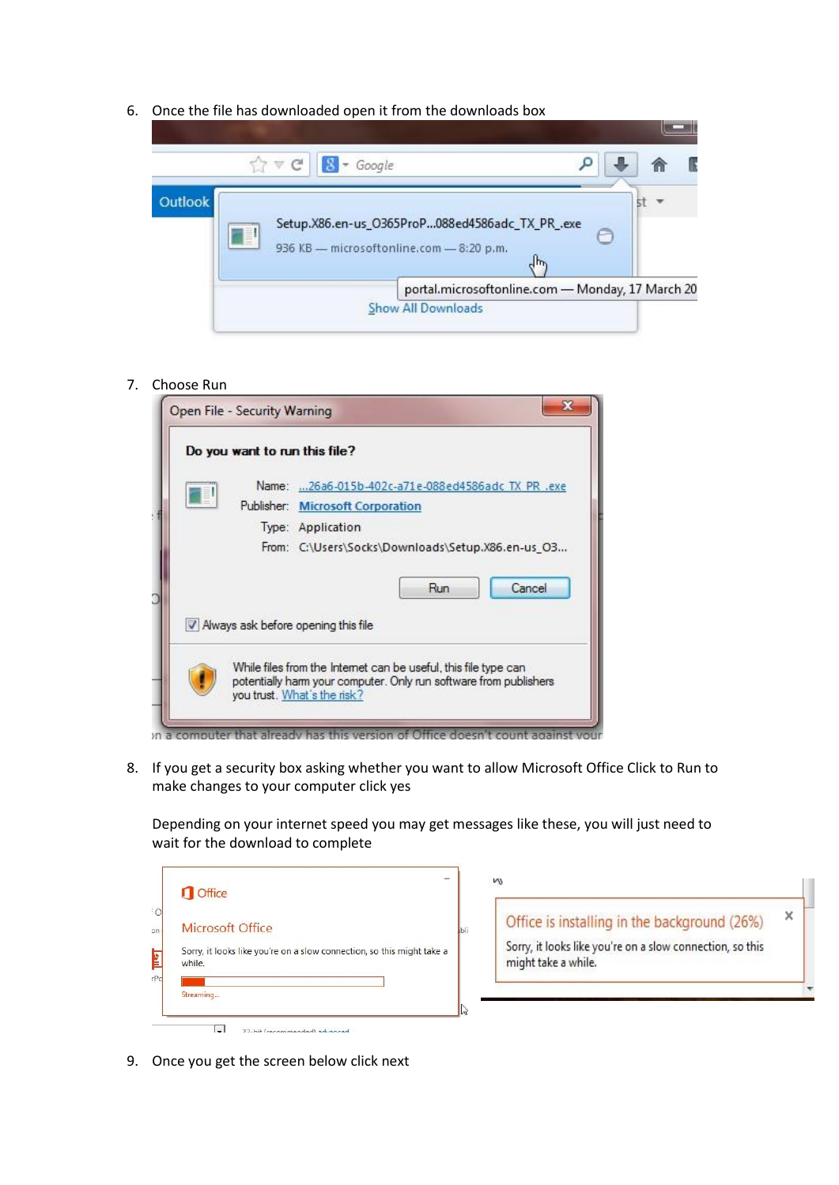6. Once the file has downloaded open it from the downloads box



#### 7. Choose Run

| Do you want to run this file? |                                                                                                                                                                     |
|-------------------------------|---------------------------------------------------------------------------------------------------------------------------------------------------------------------|
|                               | Name: 26a6-015b-402c-a71e-088ed4586adc TX PR .exe                                                                                                                   |
|                               | Publisher: Microsoft Corporation                                                                                                                                    |
|                               | Type: Application                                                                                                                                                   |
|                               | From: C:\Users\Socks\Downloads\Setup.X86.en-us O3                                                                                                                   |
|                               | Cancel<br>Run<br>V Always ask before opening this file                                                                                                              |
|                               |                                                                                                                                                                     |
|                               | While files from the Internet can be useful, this file type can<br>potentially harm your computer. Only run software from publishers<br>you trust. What's the risk? |

8. If you get a security box asking whether you want to allow Microsoft Office Click to Run to make changes to your computer click yes

Depending on your internet speed you may get messages like these, you will just need to wait for the download to complete

| Office                  |                                                                        |
|-------------------------|------------------------------------------------------------------------|
| <b>Microsoft Office</b> |                                                                        |
| while.                  | Sorry, it looks like you're on a slow connection, so this might take a |
| Streaming               |                                                                        |

| Office is installing in the background (26%)                                     |  |
|----------------------------------------------------------------------------------|--|
| Sorry, it looks like you're on a slow connection, so this<br>might take a while. |  |

9. Once you get the screen below click next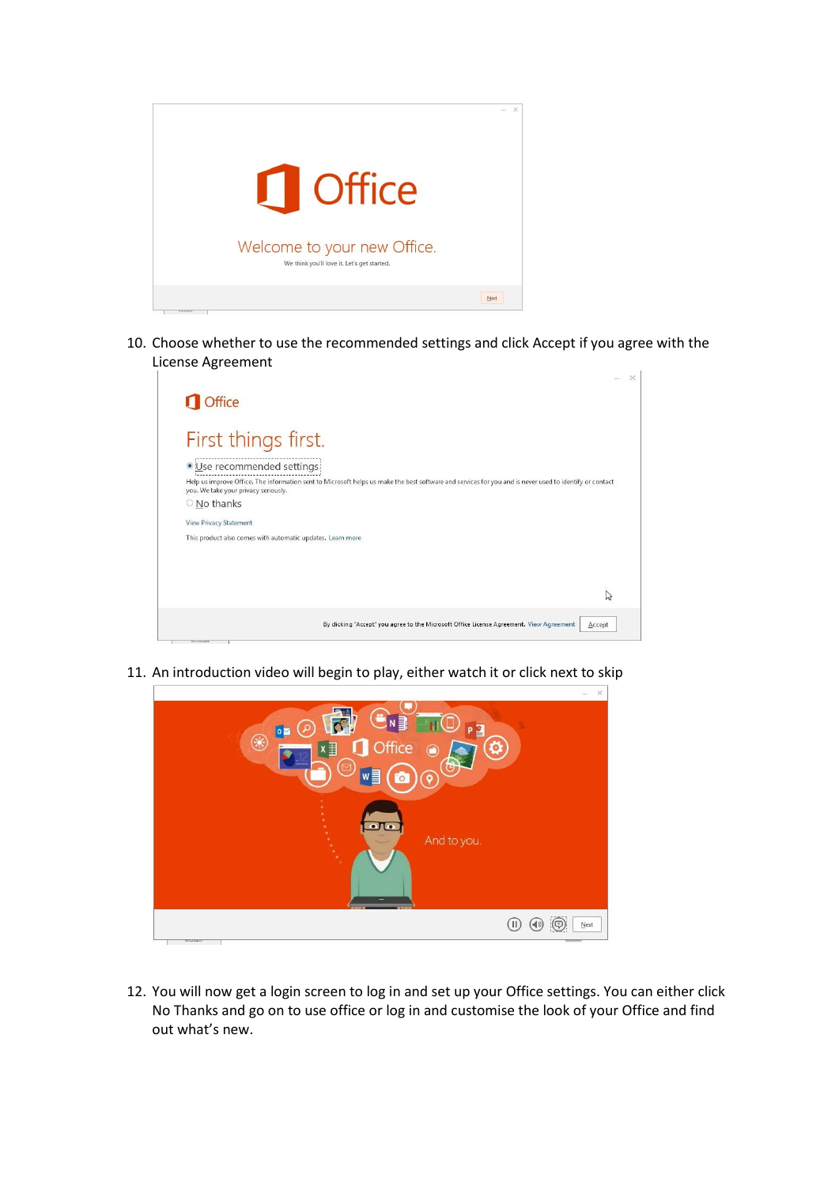

10. Choose whether to use the recommended settings and click Accept if you agree with the License Agreement

| <b>Office</b>                                              |                                                                                                                                                         |
|------------------------------------------------------------|---------------------------------------------------------------------------------------------------------------------------------------------------------|
|                                                            |                                                                                                                                                         |
| First things first.                                        |                                                                                                                                                         |
| · Use recommended settings                                 |                                                                                                                                                         |
| you. We take your privacy seriously.                       | Help us improve Office. The information sent to Microsoft helps us make the best software and services for you and is never used to identify or contact |
| O No thanks                                                |                                                                                                                                                         |
| <b>View Privacy Statement</b>                              |                                                                                                                                                         |
| This product also comes with automatic updates. Learn more |                                                                                                                                                         |
|                                                            |                                                                                                                                                         |
|                                                            |                                                                                                                                                         |
|                                                            |                                                                                                                                                         |
|                                                            |                                                                                                                                                         |
|                                                            | By clicking "Accept" you agree to the Microsoft Office License Agreement. View Agreement<br>Accept                                                      |
|                                                            |                                                                                                                                                         |

11. An introduction video will begin to play, either watch it or click next to skip

| ë<br>$N \nvert\overline{\mathbf{a}}$<br>$\circledcirc$<br>PB<br>$\circ$ $\blacksquare$<br>$\circledast$<br>Office<br>目<br><br>$\odot$<br>ලැ<br>$\overline{\triangleright}$<br>$w \equiv$<br>ଚ<br><b>Fo</b> | $\times$ .<br>$\overline{\phantom{a}}$ |
|------------------------------------------------------------------------------------------------------------------------------------------------------------------------------------------------------------|----------------------------------------|
| $\bullet$ To<br>¥<br>And to you.                                                                                                                                                                           |                                        |
| $($ $\Box$<br>monum                                                                                                                                                                                        | Next                                   |

12. You will now get a login screen to log in and set up your Office settings. You can either click No Thanks and go on to use office or log in and customise the look of your Office and find out what's new.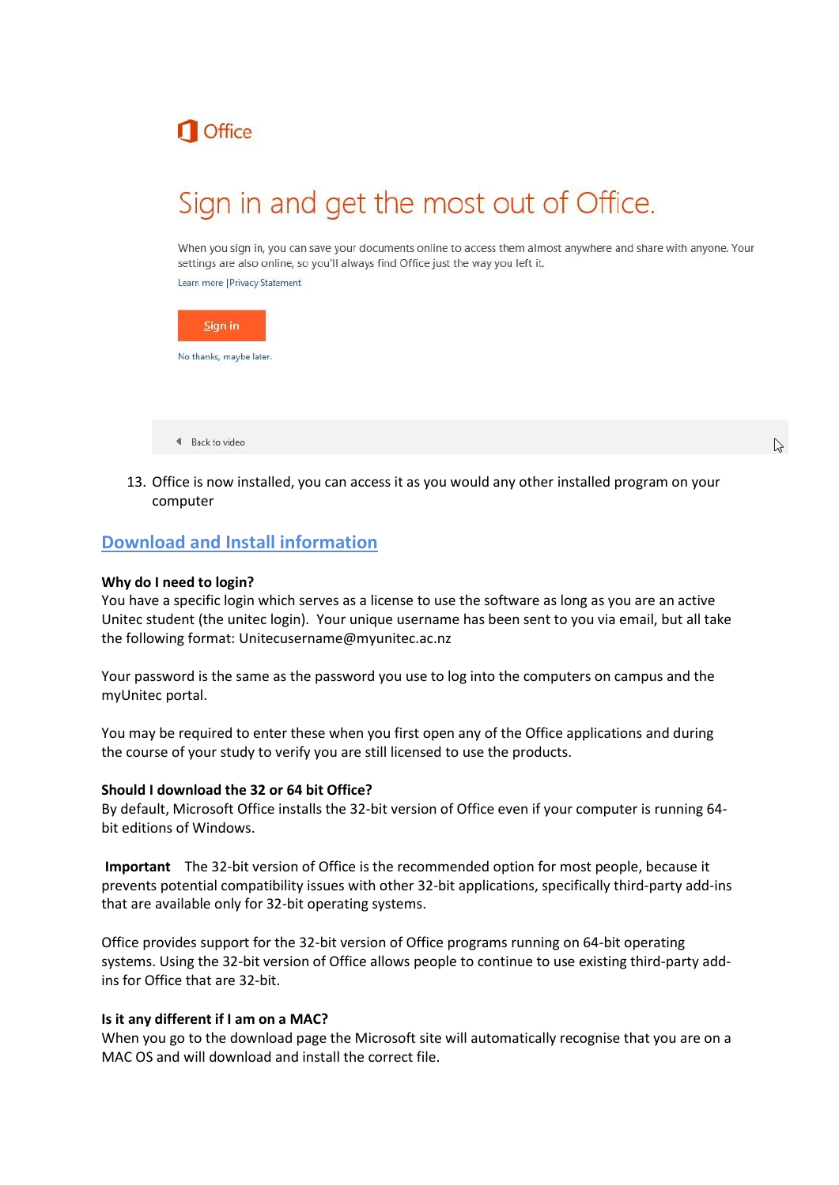

# Sign in and get the most out of Office.

When you sign in, you can save your documents online to access them almost anywhere and share with anyone. Your settings are also online, so you'll always find Office just the way you left it.

Learn more | Privacy Statement



4 Back to video

13. Office is now installed, you can access it as you would any other installed program on your computer

### **Download and Install information**

#### **Why do I need to login?**

You have a specific login which serves as a license to use the software as long as you are an active Unitec student (the unitec login). Your unique username has been sent to you via email, but all take the following format: Unitecusername@myunitec.ac.nz

Your password is the same as the password you use to log into the computers on campus and the myUnitec portal.

You may be required to enter these when you first open any of the Office applications and during the course of your study to verify you are still licensed to use the products.

#### **Should I download the 32 or 64 bit Office?**

By default, Microsoft Office installs the 32-bit version of Office even if your computer is running 64 bit editions of Windows.

**Important** The 32-bit version of Office is the recommended option for most people, because it prevents potential compatibility issues with other 32-bit applications, specifically third-party add-ins that are available only for 32-bit operating systems.

Office provides support for the 32-bit version of Office programs running on 64-bit operating systems. Using the 32-bit version of Office allows people to continue to use existing third-party addins for Office that are 32-bit.

#### **Is it any different if I am on a MAC?**

When you go to the download page the Microsoft site will automatically recognise that you are on a MAC OS and will download and install the correct file.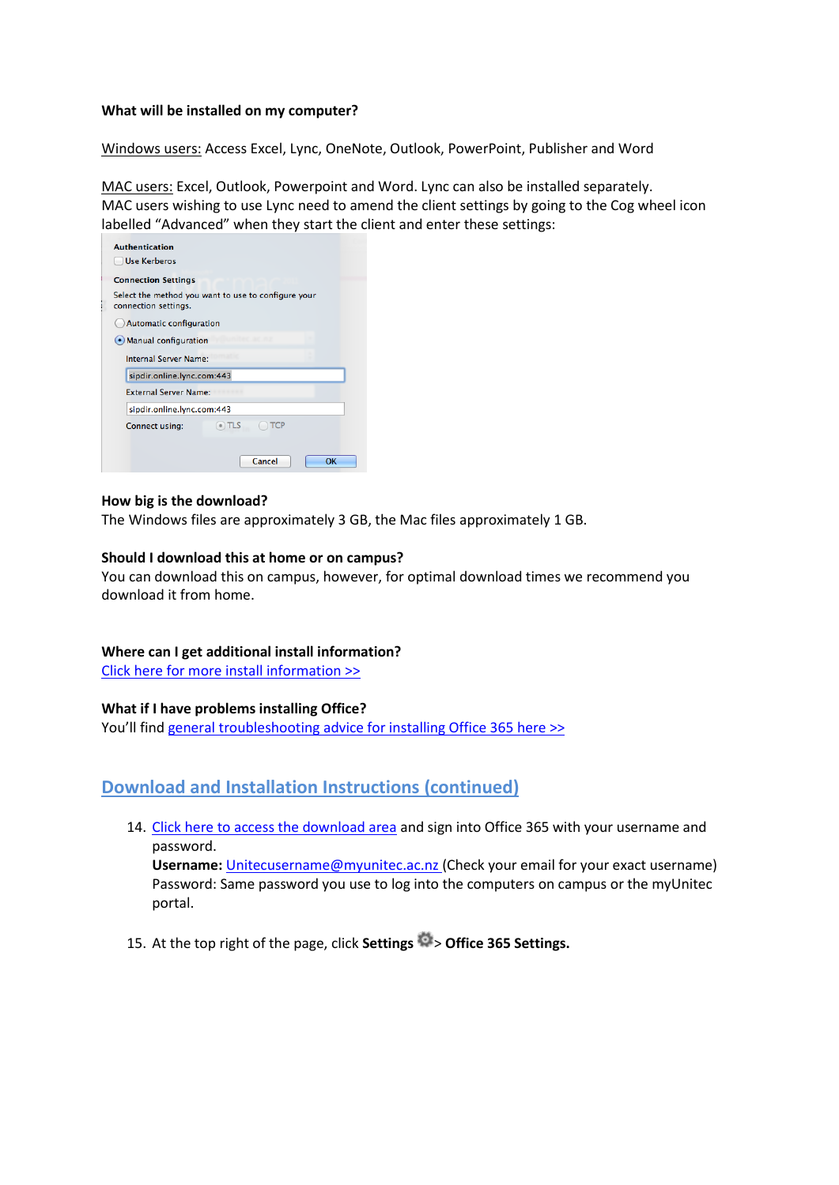#### **What will be installed on my computer?**

Windows users: Access Excel, Lync, OneNote, Outlook, PowerPoint, Publisher and Word

MAC users: Excel, Outlook, Powerpoint and Word. Lync can also be installed separately. MAC users wishing to use Lync need to amend the client settings by going to the Cog wheel icon labelled "Advanced" when they start the client and enter these settings:

| <b>Authentication</b>                                                       |  |
|-----------------------------------------------------------------------------|--|
| Use Kerberos                                                                |  |
| <b>Connection Settings</b>                                                  |  |
| Select the method you want to use to configure your<br>connection settings. |  |
| Automatic configuration                                                     |  |
| (•) Manual configuration                                                    |  |
| Internal Server Name:                                                       |  |
| sipdir.online.lync.com:443                                                  |  |
| <b>External Server Name:</b>                                                |  |
| sipdir.online.lync.com:443                                                  |  |
| $\bullet$ ) TLS<br>TCP<br>Connect using:                                    |  |
|                                                                             |  |
| Cancel<br>OK                                                                |  |

#### **How big is the download?**

The Windows files are approximately 3 GB, the Mac files approximately 1 GB.

#### **Should I download this at home or on campus?**

You can download this on campus, however, for optimal download times we recommend you download it from home.

#### **Where can I get additional install information?**

[Click here for more install information >>](http://office.microsoft.com/en-us/office365-suite-help/install-office-on-your-pc-or-mac-with-office-365-for-business-HA102822111.aspx)

#### **What if I have problems installing Office?**

You'll find [general troubleshooting advice for installing Office 365 here >>](http://support.microsoft.com/kb/2822317)

## **Download and Installation Instructions (continued)**

14. Click here [to access the download area](https://login.microsoftonline.com/) and sign into Office 365 with your username and password.

**Username:** [Unitecusername@myunitec.ac.nz](mailto:Unitecusername@myunitec.ac.nz) (Check your email for your exact username) Password: Same password you use to log into the computers on campus or the myUnitec portal.

15. At the top right of the page, click **Settings** > **Office 365 Settings.**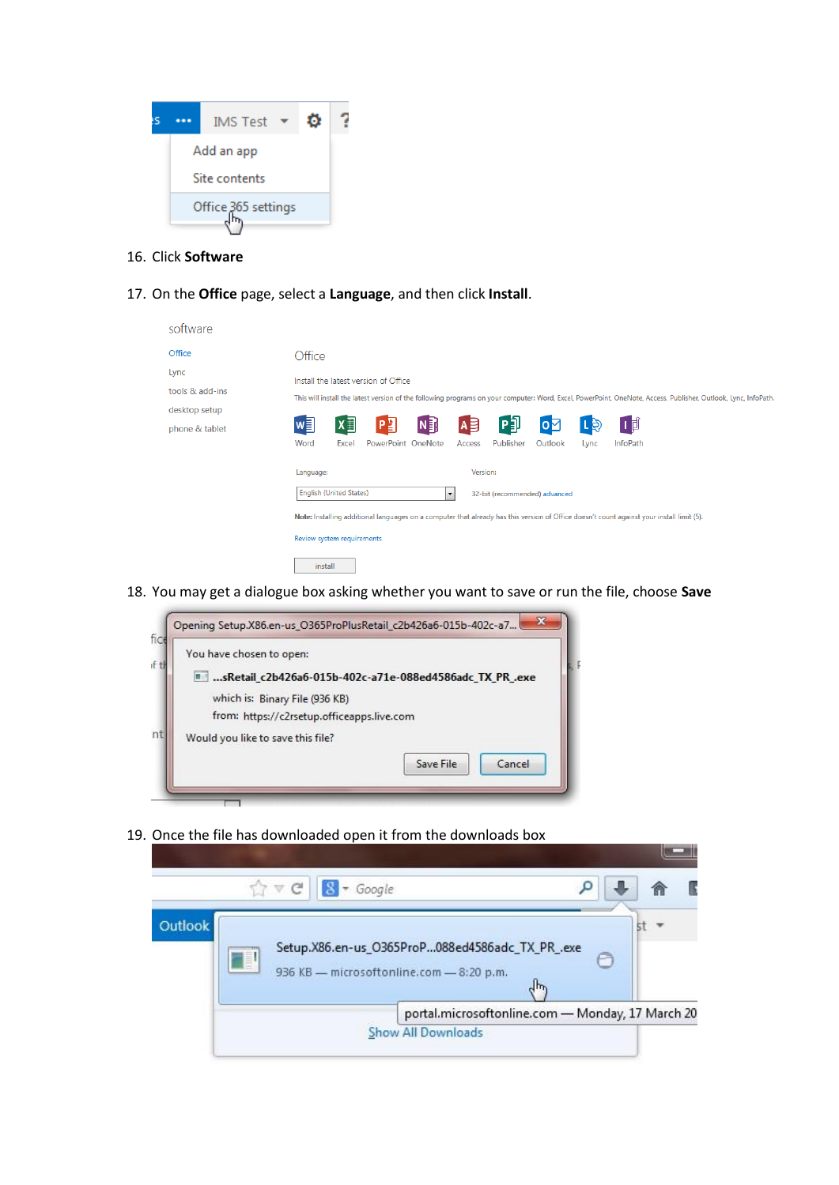

- 16. Click **Software**
- 17. On the **Office** page, select a **Language**, and then click **Install**.

| software                                                             |                                                                                                                                                                                                                                                                                                                                                                                                         |
|----------------------------------------------------------------------|---------------------------------------------------------------------------------------------------------------------------------------------------------------------------------------------------------------------------------------------------------------------------------------------------------------------------------------------------------------------------------------------------------|
| Office<br>Lync<br>tools & add-ins<br>desktop setup<br>phone & tablet | Office<br>Install the latest version of Office<br>This will install the latest version of the following programs on your computer: Word, Excel, PowerPoint, OneNote, Access, Publisher, Outlook, Lync, InfoPath.<br>问<br>$N_{\rm B}$<br>$x \equiv$<br>w∃<br>[∎]<br>唱<br>$A \n\equiv$<br>oМ<br><u>r 6</u>                                                                                                |
|                                                                      | PowerPoint OneNote<br>Word<br>Publisher<br>InfoPath<br>Excel<br>Outlook<br>Lync<br>Access<br>Version:<br>Language:<br><b>English (United States)</b><br>32-bit (recommended) advanced<br>$\overline{\phantom{a}}$<br>Note: Installing additional languages on a computer that already has this version of Office doesn't count against your install limit (5).<br>Review system requirements<br>install |

18. You may get a dialogue box asking whether you want to save or run the file, choose **Save**



19. Once the file has downloaded open it from the downloads box

|         |          |  | $\uparrow$ $\vee$ $\uparrow$ $\qquad$ $\qquad$ $\qquad$ $\qquad$ $\qquad$ $\qquad$ $\qquad$ $\qquad$ $\qquad$ $\qquad$ $\qquad$ $\qquad$ $\qquad$ $\qquad$ $\qquad$ $\qquad$ $\qquad$ $\qquad$ $\qquad$ $\qquad$ $\qquad$ $\qquad$ $\qquad$ $\qquad$ $\qquad$ $\qquad$ $\qquad$ $\qquad$ $\qquad$ $\qquad$ $\qquad$ $\qquad$ $\qquad$ $\qquad$ |                                                                                             |                                                  |     |   |  |
|---------|----------|--|------------------------------------------------------------------------------------------------------------------------------------------------------------------------------------------------------------------------------------------------------------------------------------------------------------------------------------------------|---------------------------------------------------------------------------------------------|--------------------------------------------------|-----|---|--|
| Outlook | <b>A</b> |  |                                                                                                                                                                                                                                                                                                                                                | Setup.X86.en-us_O365ProP088ed4586adc_TX_PR_.exe<br>936 KB - microsoftonline.com - 8:20 p.m. |                                                  | վեր | ℮ |  |
|         |          |  |                                                                                                                                                                                                                                                                                                                                                |                                                                                             | portal.microsoftonline.com - Monday, 17 March 20 |     |   |  |
|         |          |  |                                                                                                                                                                                                                                                                                                                                                | Show All Downloads                                                                          |                                                  |     |   |  |

**Contract Contract**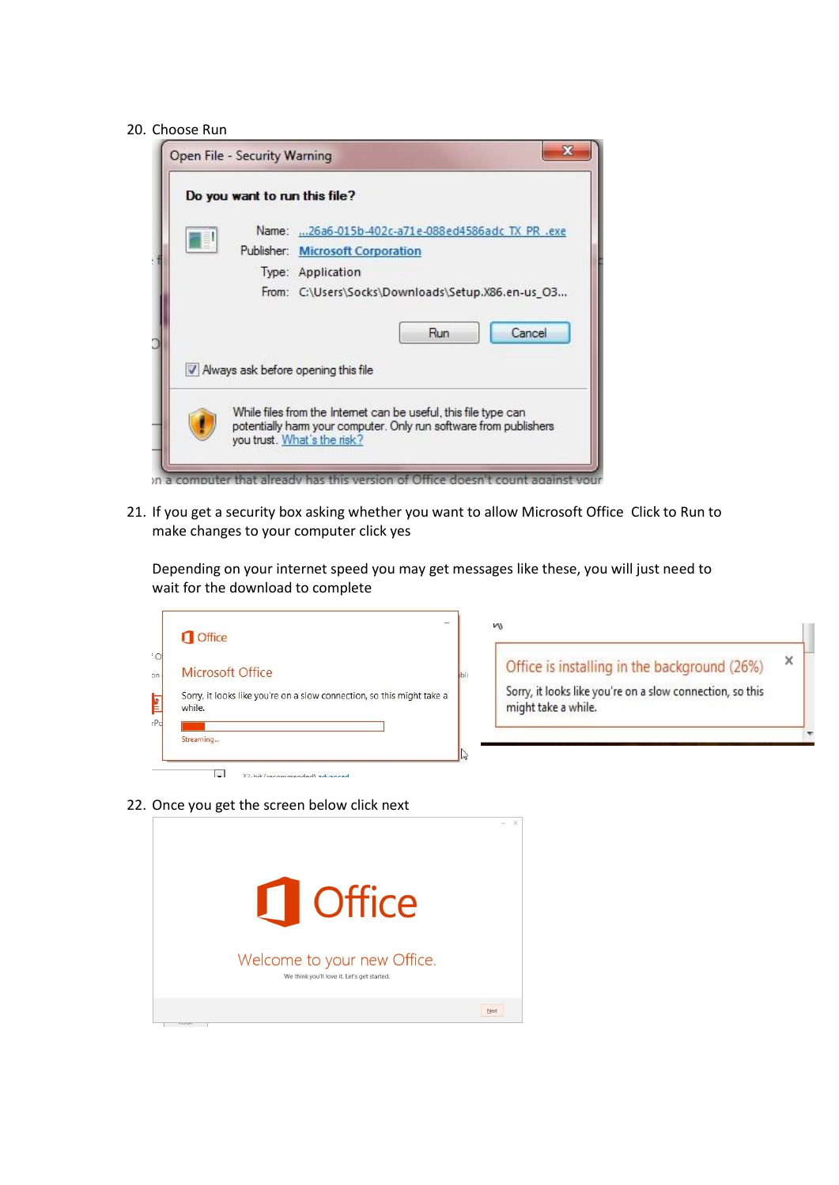#### 20. Choose Run

|   | Do you want to run this file? |                                                                                                                                                                     |
|---|-------------------------------|---------------------------------------------------------------------------------------------------------------------------------------------------------------------|
|   |                               | Name: 26a6-015b-402c-a71e-088ed4586adc TX PR .exe                                                                                                                   |
| E |                               | Publisher: Microsoft Corporation                                                                                                                                    |
|   |                               | Type: Application                                                                                                                                                   |
|   |                               | From: C:\Users\Socks\Downloads\Setup.X86.en-us_O3                                                                                                                   |
|   |                               | Cancel<br>Run                                                                                                                                                       |
|   |                               | V Always ask before opening this file                                                                                                                               |
|   |                               | While files from the Internet can be useful, this file type can<br>potentially harm your computer. Only run software from publishers<br>you trust. What's the risk? |

In a computer that already has this version of Office doesn't count against your

21. If you get a security box asking whether you want to allow Microsoft Office Click to Run to make changes to your computer click yes

Depending on your internet speed you may get messages like these, you will just need to wait for the download to complete

| <b>Office</b>                                                                                        | M                                                                                                                                |   |
|------------------------------------------------------------------------------------------------------|----------------------------------------------------------------------------------------------------------------------------------|---|
| Microsoft Office<br>Sorry, it looks like you're on a slow connection, so this might take a<br>while. | Office is installing in the background (26%)<br>Sorry, it looks like you're on a slow connection, so this<br>might take a while. | x |
| Streaming                                                                                            |                                                                                                                                  |   |

22. Once you get the screen below click next

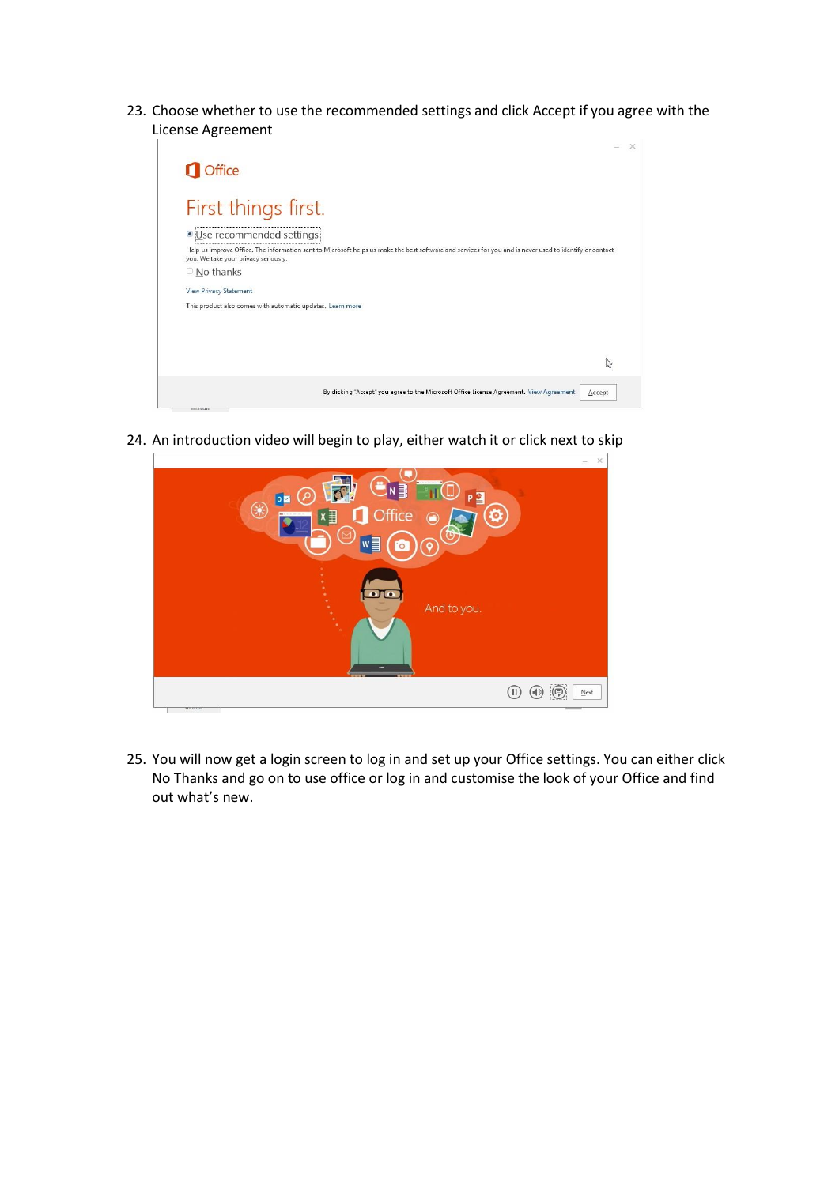23. Choose whether to use the recommended settings and click Accept if you agree with the License Agreement



24. An introduction video will begin to play, either watch it or click next to skip



25. You will now get a login screen to log in and set up your Office settings. You can either click No Thanks and go on to use office or log in and customise the look of your Office and find out what's new.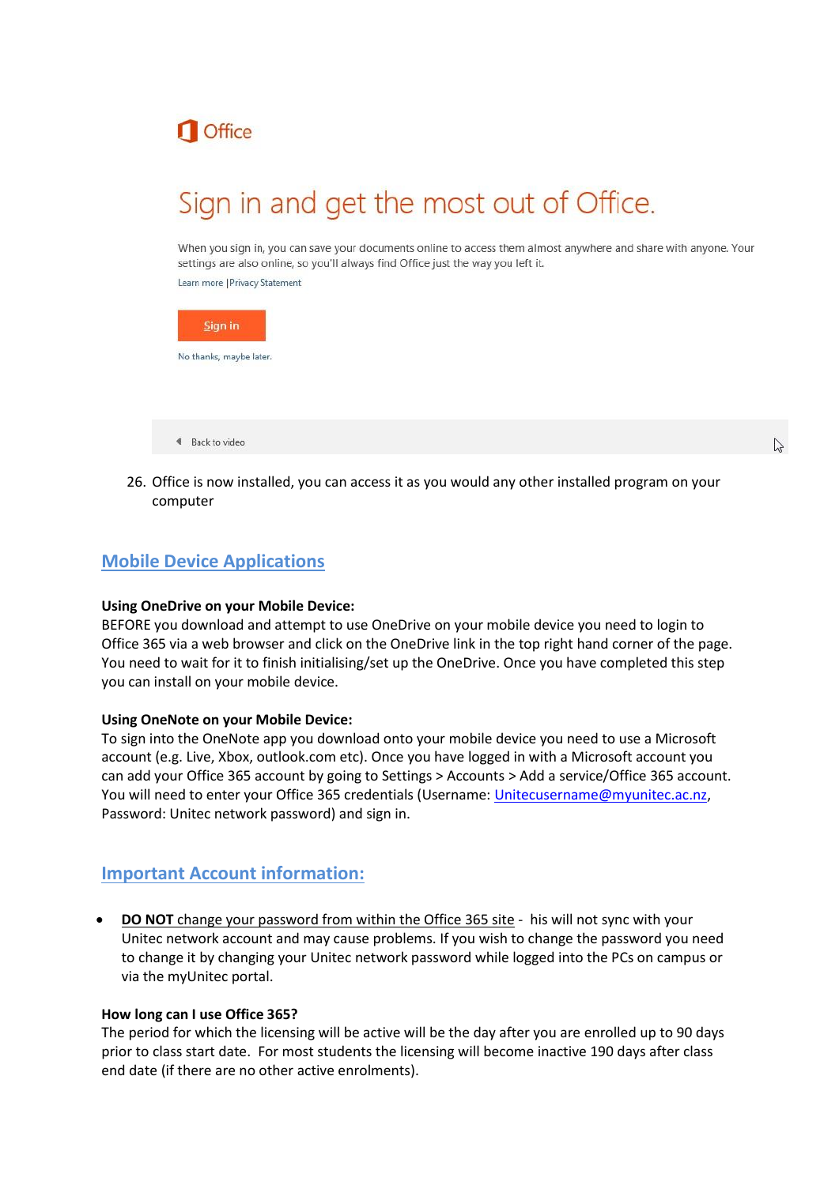

# Sign in and get the most out of Office.

When you sign in, you can save your documents online to access them almost anywhere and share with anyone. Your settings are also online, so you'll always find Office just the way you left it.

Learn more | Privacy Statement



26. Office is now installed, you can access it as you would any other installed program on your computer

# **Mobile Device Applications**

4 Back to video

#### **Using OneDrive on your Mobile Device:**

BEFORE you download and attempt to use OneDrive on your mobile device you need to login to Office 365 via a web browser and click on the OneDrive link in the top right hand corner of the page. You need to wait for it to finish initialising/set up the OneDrive. Once you have completed this step you can install on your mobile device.

#### **Using OneNote on your Mobile Device:**

To sign into the OneNote app you download onto your mobile device you need to use a Microsoft account (e.g. Live, Xbox, outlook.com etc). Once you have logged in with a Microsoft account you can add your Office 365 account by going to Settings > Accounts > Add a service/Office 365 account. You will need to enter your Office 365 credentials (Username: [Unitecusername@myunitec.ac.nz,](mailto:Unitecusername@myunitec.ac.nz) Password: Unitec network password) and sign in.

## **Important Account information:**

 **DO NOT** change your password from within the Office 365 site - his will not sync with your Unitec network account and may cause problems. If you wish to change the password you need to change it by changing your Unitec network password while logged into the PCs on campus or via the myUnitec portal.

#### **How long can I use Office 365?**

The period for which the licensing will be active will be the day after you are enrolled up to 90 days prior to class start date. For most students the licensing will become inactive 190 days after class end date (if there are no other active enrolments).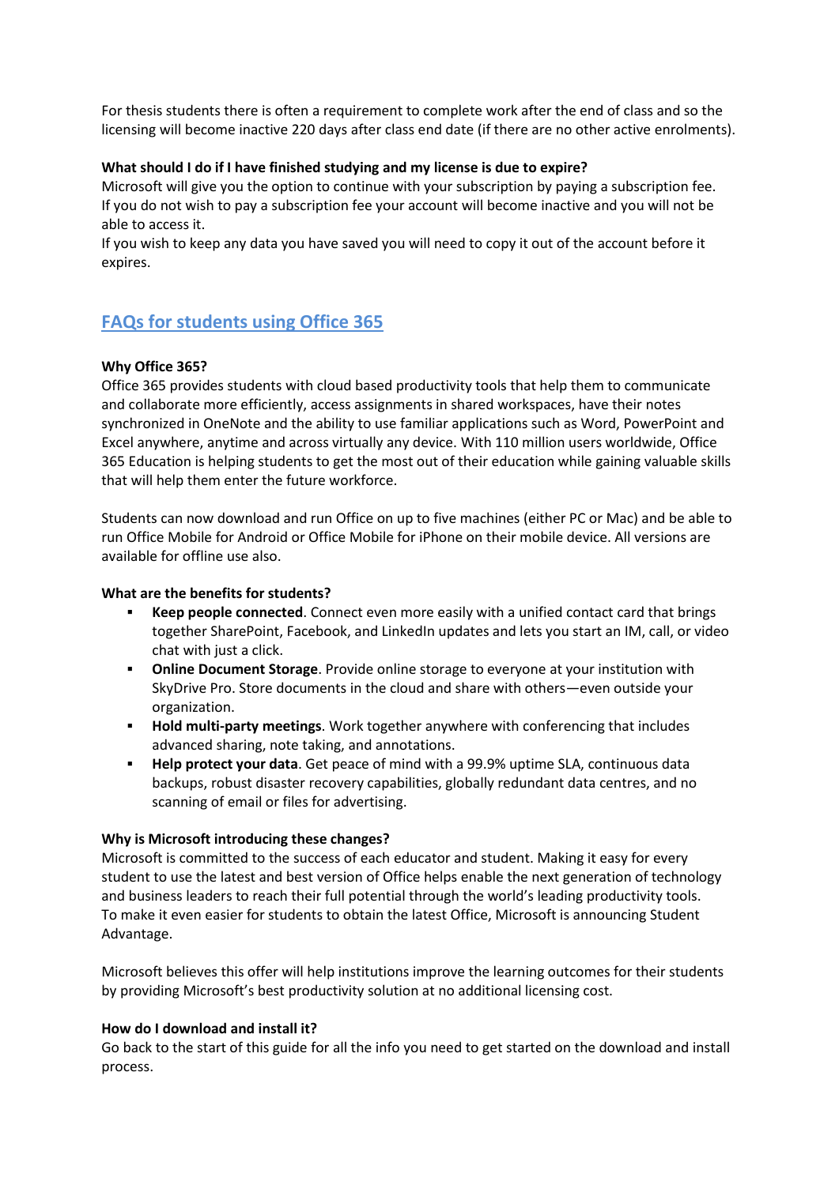For thesis students there is often a requirement to complete work after the end of class and so the licensing will become inactive 220 days after class end date (if there are no other active enrolments).

#### **What should I do if I have finished studying and my license is due to expire?**

Microsoft will give you the option to continue with your subscription by paying a subscription fee. If you do not wish to pay a subscription fee your account will become inactive and you will not be able to access it.

If you wish to keep any data you have saved you will need to copy it out of the account before it expires.

# **FAQs for students using Office 365**

#### **Why Office 365?**

Office 365 provides students with cloud based productivity tools that help them to communicate and collaborate more efficiently, access assignments in shared workspaces, have their notes synchronized in OneNote and the ability to use familiar applications such as Word, PowerPoint and Excel anywhere, anytime and across virtually any device. With 110 million users worldwide, Office 365 Education is helping students to get the most out of their education while gaining valuable skills that will help them enter the future workforce.

Students can now download and run Office on up to five machines (either PC or Mac) and be able to run Office Mobile for Android or Office Mobile for iPhone on their mobile device. All versions are available for offline use also.

#### **What are the benefits for students?**

- **Keep people connected**. Connect even more easily with a unified contact card that brings together SharePoint, Facebook, and LinkedIn updates and lets you start an IM, call, or video chat with just a click.
- **Online Document Storage**. Provide online storage to everyone at your institution with SkyDrive Pro. Store documents in the cloud and share with others—even outside your organization.
- **Hold multi-party meetings**. Work together anywhere with conferencing that includes advanced sharing, note taking, and annotations.
- **Help protect your data**. Get peace of mind with a 99.9% uptime SLA, continuous data backups, robust disaster recovery capabilities, globally redundant data centres, and no scanning of email or files for advertising.

#### **Why is Microsoft introducing these changes?**

Microsoft is committed to the success of each educator and student. Making it easy for every student to use the latest and best version of Office helps enable the next generation of technology and business leaders to reach their full potential through the world's leading productivity tools. To make it even easier for students to obtain the latest Office, Microsoft is announcing Student Advantage.

Microsoft believes this offer will help institutions improve the learning outcomes for their students by providing Microsoft's best productivity solution at no additional licensing cost.

#### **How do I download and install it?**

Go back to the start of this guide for all the info you need to get started on the download and install process.